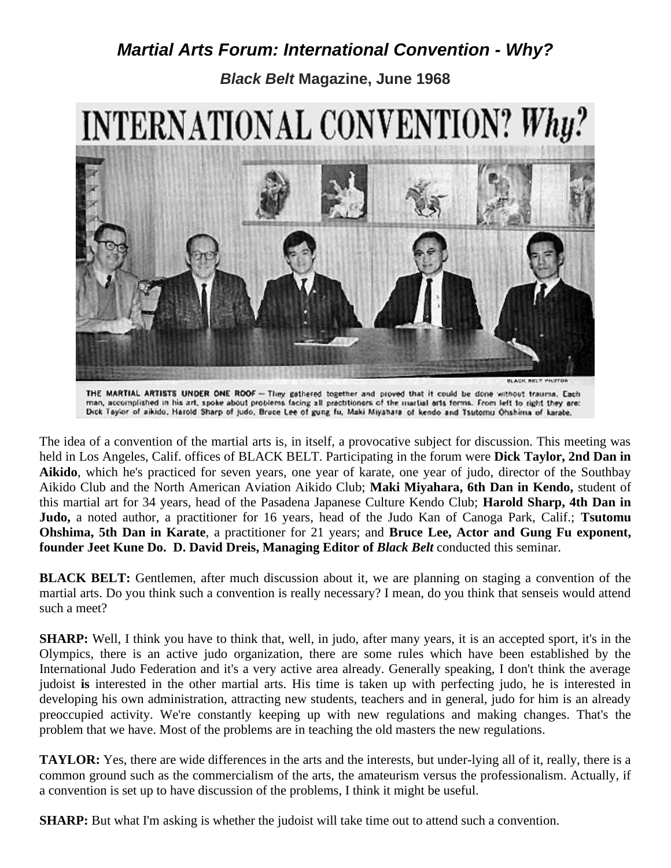## *Martial Arts Forum: International Convention - Why?*

*Black Belt* **Magazine, June 1968**



THE MARTIAL ARTISTS UNDER ONE ROOF - They gathered together and proved that it could be done without trauma. Each man, accomplished in his art, spoke about problems facing all practitioners of the martial arts forms. From left to right they are:<br>Dick Taylor of aikido, Harold Sharp of judo, Bruce Lee of gung fu, Maki Miyahara of kendo

The idea of a convention of the martial arts is, in itself, a provocative subject for discussion. This meeting was held in Los Angeles, Calif. offices of BLACK BELT. Participating in the forum were **Dick Taylor, 2nd Dan in Aikido**, which he's practiced for seven years, one year of karate, one year of judo, director of the Southbay Aikido Club and the North American Aviation Aikido Club; **Maki Miyahara, 6th Dan in Kendo,** student of this martial art for 34 years, head of the Pasadena Japanese Culture Kendo Club; **Harold Sharp, 4th Dan in Judo,** a noted author, a practitioner for 16 years, head of the Judo Kan of Canoga Park, Calif.; **Tsutomu Ohshima, 5th Dan in Karate**, a practitioner for 21 years; and **Bruce Lee, Actor and Gung Fu exponent, founder Jeet Kune Do. D. David Dreis, Managing Editor of** *Black Belt* conducted this seminar.

**BLACK BELT:** Gentlemen, after much discussion about it, we are planning on staging a convention of the martial arts. Do you think such a convention is really necessary? I mean, do you think that senseis would attend such a meet?

**SHARP:** Well, I think you have to think that, well, in judo, after many years, it is an accepted sport, it's in the Olympics, there is an active judo organization, there are some rules which have been established by the International Judo Federation and it's a very active area already. Generally speaking, I don't think the average judoist **is** interested in the other martial arts. His time is taken up with perfecting judo, he is interested in developing his own administration, attracting new students, teachers and in general, judo for him is an already preoccupied activity. We're constantly keeping up with new regulations and making changes. That's the problem that we have. Most of the problems are in teaching the old masters the new regulations.

**TAYLOR:** Yes, there are wide differences in the arts and the interests, but under-lying all of it, really, there is a common ground such as the commercialism of the arts, the amateurism versus the professionalism. Actually, if a convention is set up to have discussion of the problems, I think it might be useful.

**SHARP:** But what I'm asking is whether the judoist will take time out to attend such a convention.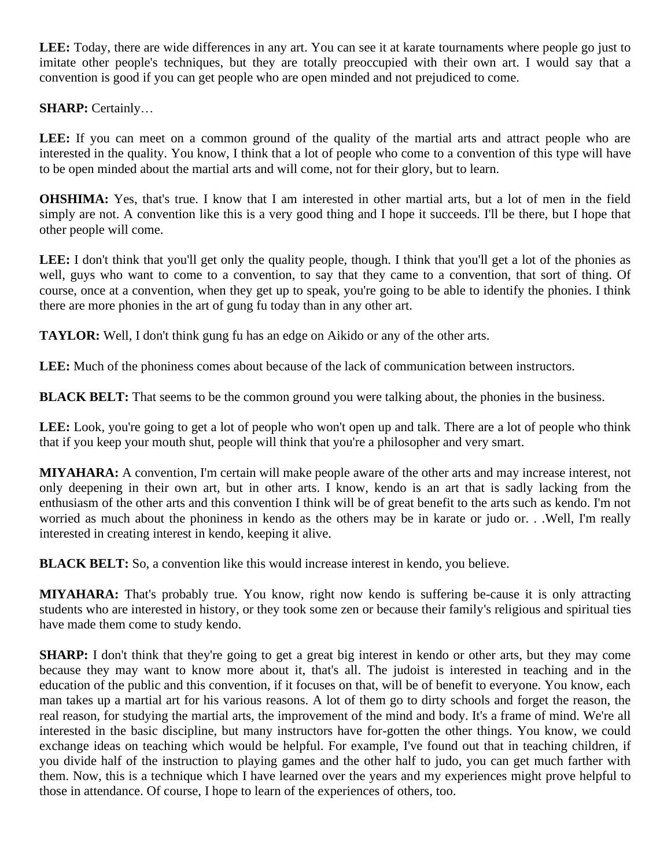**LEE:** Today, there are wide differences in any art. You can see it at karate tournaments where people go just to imitate other people's techniques, but they are totally preoccupied with their own art. I would say that a convention is good if you can get people who are open minded and not prejudiced to come.

**SHARP:** Certainly…

LEE: If you can meet on a common ground of the quality of the martial arts and attract people who are interested in the quality. You know, I think that a lot of people who come to a convention of this type will have to be open minded about the martial arts and will come, not for their glory, but to learn.

**OHSHIMA:** Yes, that's true. I know that I am interested in other martial arts, but a lot of men in the field simply are not. A convention like this is a very good thing and I hope it succeeds. I'll be there, but I hope that other people will come.

LEE: I don't think that you'll get only the quality people, though. I think that you'll get a lot of the phonies as well, guys who want to come to a convention, to say that they came to a convention, that sort of thing. Of course, once at a convention, when they get up to speak, you're going to be able to identify the phonies. I think there are more phonies in the art of gung fu today than in any other art.

**TAYLOR:** Well, I don't think gung fu has an edge on Aikido or any of the other arts.

**LEE:** Much of the phoniness comes about because of the lack of communication between instructors.

**BLACK BELT:** That seems to be the common ground you were talking about, the phonies in the business.

LEE: Look, you're going to get a lot of people who won't open up and talk. There are a lot of people who think that if you keep your mouth shut, people will think that you're a philosopher and very smart.

**MIYAHARA:** A convention, I'm certain will make people aware of the other arts and may increase interest, not only deepening in their own art, but in other arts. I know, kendo is an art that is sadly lacking from the enthusiasm of the other arts and this convention I think will be of great benefit to the arts such as kendo. I'm not worried as much about the phoniness in kendo as the others may be in karate or judo or. . .Well, I'm really interested in creating interest in kendo, keeping it alive.

**BLACK BELT:** So, a convention like this would increase interest in kendo, you believe.

**MIYAHARA:** That's probably true. You know, right now kendo is suffering be-cause it is only attracting students who are interested in history, or they took some zen or because their family's religious and spiritual ties have made them come to study kendo.

**SHARP:** I don't think that they're going to get a great big interest in kendo or other arts, but they may come because they may want to know more about it, that's all. The judoist is interested in teaching and in the education of the public and this convention, if it focuses on that, will be of benefit to everyone. You know, each man takes up a martial art for his various reasons. A lot of them go to dirty schools and forget the reason, the real reason, for studying the martial arts, the improvement of the mind and body. It's a frame of mind. We're all interested in the basic discipline, but many instructors have for-gotten the other things. You know, we could exchange ideas on teaching which would be helpful. For example, I've found out that in teaching children, if you divide half of the instruction to playing games and the other half to judo, you can get much farther with them. Now, this is a technique which I have learned over the years and my experiences might prove helpful to those in attendance. Of course, I hope to learn of the experiences of others, too.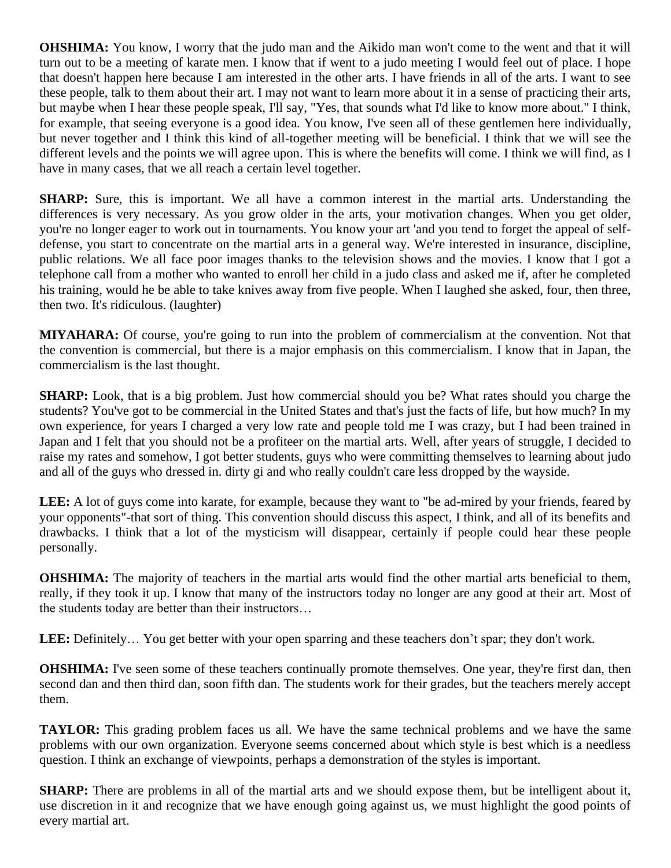**OHSHIMA:** You know, I worry that the judo man and the Aikido man won't come to the went and that it will turn out to be a meeting of karate men. I know that if went to a judo meeting I would feel out of place. I hope that doesn't happen here because I am interested in the other arts. I have friends in all of the arts. I want to see these people, talk to them about their art. I may not want to learn more about it in a sense of practicing their arts, but maybe when I hear these people speak, I'll say, "Yes, that sounds what I'd like to know more about." I think, for example, that seeing everyone is a good idea. You know, I've seen all of these gentlemen here individually, but never together and I think this kind of all-together meeting will be beneficial. I think that we will see the different levels and the points we will agree upon. This is where the benefits will come. I think we will find, as I have in many cases, that we all reach a certain level together.

**SHARP:** Sure, this is important. We all have a common interest in the martial arts. Understanding the differences is very necessary. As you grow older in the arts, your motivation changes. When you get older, you're no longer eager to work out in tournaments. You know your art 'and you tend to forget the appeal of selfdefense, you start to concentrate on the martial arts in a general way. We're interested in insurance, discipline, public relations. We all face poor images thanks to the television shows and the movies. I know that I got a telephone call from a mother who wanted to enroll her child in a judo class and asked me if, after he completed his training, would he be able to take knives away from five people. When I laughed she asked, four, then three, then two. It's ridiculous. (laughter)

**MIYAHARA:** Of course, you're going to run into the problem of commercialism at the convention. Not that the convention is commercial, but there is a major emphasis on this commercialism. I know that in Japan, the commercialism is the last thought.

**SHARP:** Look, that is a big problem. Just how commercial should you be? What rates should you charge the students? You've got to be commercial in the United States and that's just the facts of life, but how much? In my own experience, for years I charged a very low rate and people told me I was crazy, but I had been trained in Japan and I felt that you should not be a profiteer on the martial arts. Well, after years of struggle, I decided to raise my rates and somehow, I got better students, guys who were committing themselves to learning about judo and all of the guys who dressed in. dirty gi and who really couldn't care less dropped by the wayside.

LEE: A lot of guys come into karate, for example, because they want to "be ad-mired by your friends, feared by your opponents"-that sort of thing. This convention should discuss this aspect, I think, and all of its benefits and drawbacks. I think that a lot of the mysticism will disappear, certainly if people could hear these people personally.

**OHSHIMA:** The majority of teachers in the martial arts would find the other martial arts beneficial to them, really, if they took it up. I know that many of the instructors today no longer are any good at their art. Most of the students today are better than their instructors…

LEE: Definitely... You get better with your open sparring and these teachers don't spar; they don't work.

**OHSHIMA:** I've seen some of these teachers continually promote themselves. One year, they're first dan, then second dan and then third dan, soon fifth dan. The students work for their grades, but the teachers merely accept them.

**TAYLOR:** This grading problem faces us all. We have the same technical problems and we have the same problems with our own organization. Everyone seems concerned about which style is best which is a needless question. I think an exchange of viewpoints, perhaps a demonstration of the styles is important.

**SHARP:** There are problems in all of the martial arts and we should expose them, but be intelligent about it, use discretion in it and recognize that we have enough going against us, we must highlight the good points of every martial art.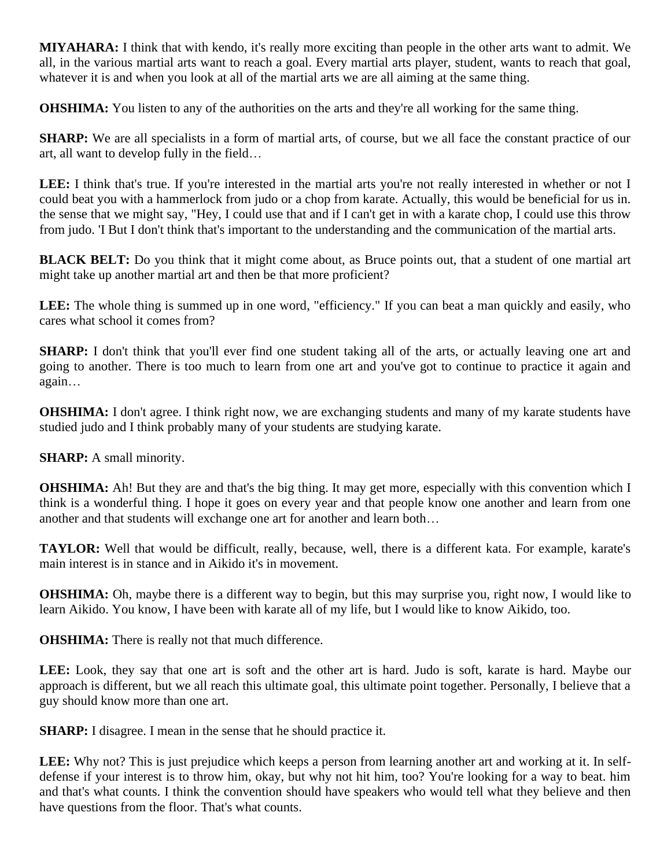**MIYAHARA:** I think that with kendo, it's really more exciting than people in the other arts want to admit. We all, in the various martial arts want to reach a goal. Every martial arts player, student, wants to reach that goal, whatever it is and when you look at all of the martial arts we are all aiming at the same thing.

**OHSHIMA:** You listen to any of the authorities on the arts and they're all working for the same thing.

**SHARP:** We are all specialists in a form of martial arts, of course, but we all face the constant practice of our art, all want to develop fully in the field…

LEE: I think that's true. If you're interested in the martial arts you're not really interested in whether or not I could beat you with a hammerlock from judo or a chop from karate. Actually, this would be beneficial for us in. the sense that we might say, "Hey, I could use that and if I can't get in with a karate chop, I could use this throw from judo. 'I But I don't think that's important to the understanding and the communication of the martial arts.

**BLACK BELT:** Do you think that it might come about, as Bruce points out, that a student of one martial art might take up another martial art and then be that more proficient?

LEE: The whole thing is summed up in one word, "efficiency." If you can beat a man quickly and easily, who cares what school it comes from?

**SHARP:** I don't think that you'll ever find one student taking all of the arts, or actually leaving one art and going to another. There is too much to learn from one art and you've got to continue to practice it again and again…

**OHSHIMA:** I don't agree. I think right now, we are exchanging students and many of my karate students have studied judo and I think probably many of your students are studying karate.

**SHARP:** A small minority.

**OHSHIMA:** Ah! But they are and that's the big thing. It may get more, especially with this convention which I think is a wonderful thing. I hope it goes on every year and that people know one another and learn from one another and that students will exchange one art for another and learn both…

**TAYLOR:** Well that would be difficult, really, because, well, there is a different kata. For example, karate's main interest is in stance and in Aikido it's in movement.

**OHSHIMA:** Oh, maybe there is a different way to begin, but this may surprise you, right now, I would like to learn Aikido. You know, I have been with karate all of my life, but I would like to know Aikido, too.

**OHSHIMA:** There is really not that much difference.

**LEE:** Look, they say that one art is soft and the other art is hard. Judo is soft, karate is hard. Maybe our approach is different, but we all reach this ultimate goal, this ultimate point together. Personally, I believe that a guy should know more than one art.

**SHARP:** I disagree. I mean in the sense that he should practice it.

**LEE:** Why not? This is just prejudice which keeps a person from learning another art and working at it. In selfdefense if your interest is to throw him, okay, but why not hit him, too? You're looking for a way to beat. him and that's what counts. I think the convention should have speakers who would tell what they believe and then have questions from the floor. That's what counts.